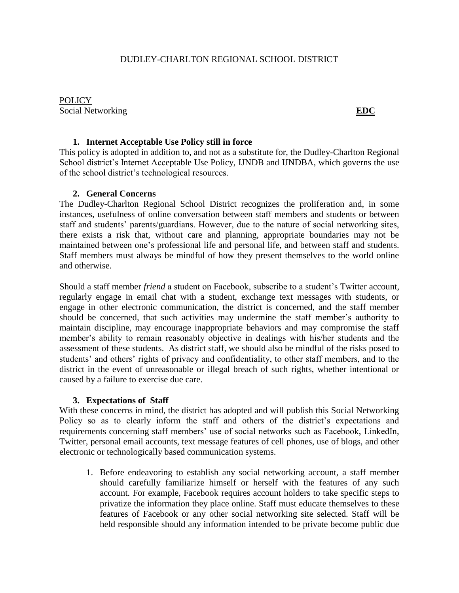POLICY Social Networking **EDC** 

## **1. Internet Acceptable Use Policy still in force**

This policy is adopted in addition to, and not as a substitute for, the Dudley-Charlton Regional School district's Internet Acceptable Use Policy, IJNDB and IJNDBA, which governs the use of the school district's technological resources.

## **2. General Concerns**

The Dudley-Charlton Regional School District recognizes the proliferation and, in some instances, usefulness of online conversation between staff members and students or between staff and students' parents/guardians. However, due to the nature of social networking sites, there exists a risk that, without care and planning, appropriate boundaries may not be maintained between one's professional life and personal life, and between staff and students. Staff members must always be mindful of how they present themselves to the world online and otherwise.

Should a staff member *friend* a student on Facebook, subscribe to a student's Twitter account, regularly engage in email chat with a student, exchange text messages with students, or engage in other electronic communication, the district is concerned, and the staff member should be concerned, that such activities may undermine the staff member's authority to maintain discipline, may encourage inappropriate behaviors and may compromise the staff member's ability to remain reasonably objective in dealings with his/her students and the assessment of these students. As district staff, we should also be mindful of the risks posed to students' and others' rights of privacy and confidentiality, to other staff members, and to the district in the event of unreasonable or illegal breach of such rights, whether intentional or caused by a failure to exercise due care.

## **3. Expectations of Staff**

With these concerns in mind, the district has adopted and will publish this Social Networking Policy so as to clearly inform the staff and others of the district's expectations and requirements concerning staff members' use of social networks such as Facebook, LinkedIn, Twitter, personal email accounts, text message features of cell phones, use of blogs, and other electronic or technologically based communication systems.

1. Before endeavoring to establish any social networking account, a staff member should carefully familiarize himself or herself with the features of any such account. For example, Facebook requires account holders to take specific steps to privatize the information they place online. Staff must educate themselves to these features of Facebook or any other social networking site selected. Staff will be held responsible should any information intended to be private become public due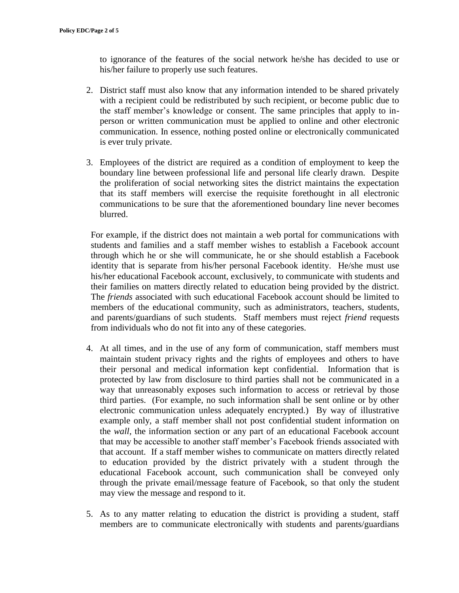to ignorance of the features of the social network he/she has decided to use or his/her failure to properly use such features.

- 2. District staff must also know that any information intended to be shared privately with a recipient could be redistributed by such recipient, or become public due to the staff member's knowledge or consent. The same principles that apply to inperson or written communication must be applied to online and other electronic communication. In essence, nothing posted online or electronically communicated is ever truly private.
- 3. Employees of the district are required as a condition of employment to keep the boundary line between professional life and personal life clearly drawn. Despite the proliferation of social networking sites the district maintains the expectation that its staff members will exercise the requisite forethought in all electronic communications to be sure that the aforementioned boundary line never becomes blurred.

For example, if the district does not maintain a web portal for communications with students and families and a staff member wishes to establish a Facebook account through which he or she will communicate, he or she should establish a Facebook identity that is separate from his/her personal Facebook identity. He/she must use his/her educational Facebook account, exclusively, to communicate with students and their families on matters directly related to education being provided by the district. The *friends* associated with such educational Facebook account should be limited to members of the educational community, such as administrators, teachers, students, and parents/guardians of such students. Staff members must reject *friend* requests from individuals who do not fit into any of these categories.

- 4. At all times, and in the use of any form of communication, staff members must maintain student privacy rights and the rights of employees and others to have their personal and medical information kept confidential. Information that is protected by law from disclosure to third parties shall not be communicated in a way that unreasonably exposes such information to access or retrieval by those third parties. (For example, no such information shall be sent online or by other electronic communication unless adequately encrypted.) By way of illustrative example only, a staff member shall not post confidential student information on the *wall,* the information section or any part of an educational Facebook account that may be accessible to another staff member's Facebook friends associated with that account. If a staff member wishes to communicate on matters directly related to education provided by the district privately with a student through the educational Facebook account, such communication shall be conveyed only through the private email/message feature of Facebook, so that only the student may view the message and respond to it.
- 5. As to any matter relating to education the district is providing a student, staff members are to communicate electronically with students and parents/guardians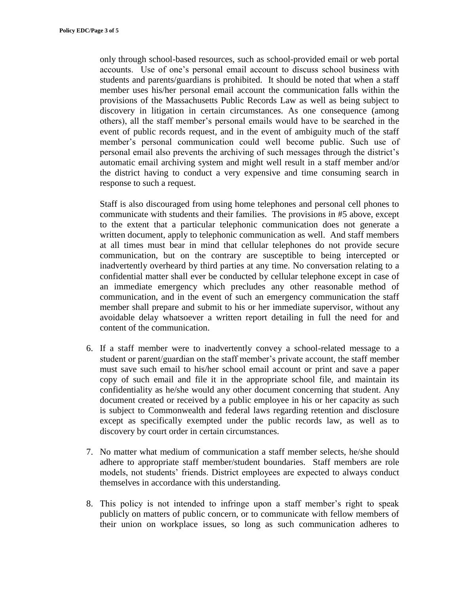only through school-based resources, such as school-provided email or web portal accounts. Use of one's personal email account to discuss school business with students and parents/guardians is prohibited. It should be noted that when a staff member uses his/her personal email account the communication falls within the provisions of the Massachusetts Public Records Law as well as being subject to discovery in litigation in certain circumstances. As one consequence (among others), all the staff member's personal emails would have to be searched in the event of public records request, and in the event of ambiguity much of the staff member's personal communication could well become public. Such use of personal email also prevents the archiving of such messages through the district's automatic email archiving system and might well result in a staff member and/or the district having to conduct a very expensive and time consuming search in response to such a request.

Staff is also discouraged from using home telephones and personal cell phones to communicate with students and their families. The provisions in #5 above, except to the extent that a particular telephonic communication does not generate a written document, apply to telephonic communication as well. And staff members at all times must bear in mind that cellular telephones do not provide secure communication, but on the contrary are susceptible to being intercepted or inadvertently overheard by third parties at any time. No conversation relating to a confidential matter shall ever be conducted by cellular telephone except in case of an immediate emergency which precludes any other reasonable method of communication, and in the event of such an emergency communication the staff member shall prepare and submit to his or her immediate supervisor, without any avoidable delay whatsoever a written report detailing in full the need for and content of the communication.

- 6. If a staff member were to inadvertently convey a school-related message to a student or parent/guardian on the staff member's private account, the staff member must save such email to his/her school email account or print and save a paper copy of such email and file it in the appropriate school file, and maintain its confidentiality as he/she would any other document concerning that student. Any document created or received by a public employee in his or her capacity as such is subject to Commonwealth and federal laws regarding retention and disclosure except as specifically exempted under the public records law, as well as to discovery by court order in certain circumstances.
- 7. No matter what medium of communication a staff member selects, he/she should adhere to appropriate staff member/student boundaries. Staff members are role models, not students' friends. District employees are expected to always conduct themselves in accordance with this understanding.
- 8. This policy is not intended to infringe upon a staff member's right to speak publicly on matters of public concern, or to communicate with fellow members of their union on workplace issues, so long as such communication adheres to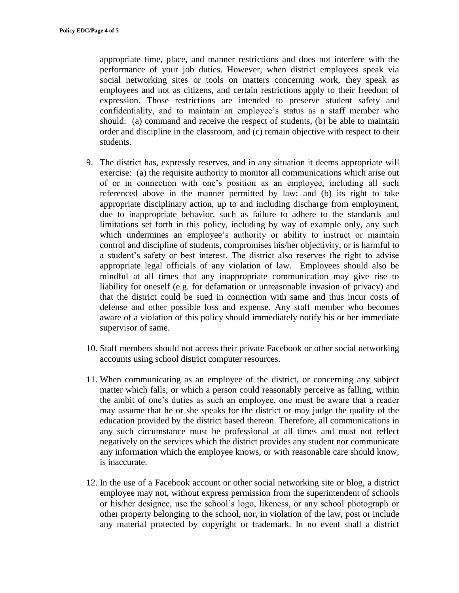appropriate time, place, and manner restrictions and does not interfere with the performance of your job duties. However, when district employees speak via social networking sites or tools on matters concerning work, they speak as employees and not as citizens, and certain restrictions apply to their freedom of expression. Those restrictions are intended to preserve student safety and confidentiality, and to maintain an employee's status as a staff member who should: (a) command and receive the respect of students, (b) be able to maintain order and discipline in the classroom, and (c) remain objective with respect to their students.

- 9. The district has, expressly reserves, and in any situation it deems appropriate will exercise: (a) the requisite authority to monitor all communications which arise out of or in connection with one's position as an employee, including all such referenced above in the manner permitted by law; and (b) its right to take appropriate disciplinary action, up to and including discharge from employment, due to inappropriate behavior, such as failure to adhere to the standards and limitations set forth in this policy, including by way of example only, any such which undermines an employee's authority or ability to instruct or maintain control and discipline of students, compromises his/her objectivity, or is harmful to a student's safety or best interest. The district also reserves the right to advise appropriate legal officials of any violation of law. Employees should also be mindful at all times that any inappropriate communication may give rise to liability for oneself (e.g. for defamation or unreasonable invasion of privacy) and that the district could be sued in connection with same and thus incur costs of defense and other possible loss and expense. Any staff member who becomes aware of a violation of this policy should immediately notify his or her immediate supervisor of same.
- 10. Staff members should not access their private Facebook or other social networking accounts using school district computer resources.
- 11. When communicating as an employee of the district, or concerning any subject matter which falls, or which a person could reasonably perceive as falling, within the ambit of one's duties as such an employee, one must be aware that a reader may assume that he or she speaks for the district or may judge the quality of the education provided by the district based thereon. Therefore, all communications in any such circumstance must be professional at all times and must not reflect negatively on the services which the district provides any student nor communicate any information which the employee knows, or with reasonable care should know, is inaccurate.
- 12. In the use of a Facebook account or other social networking site or blog, a district employee may not, without express permission from the superintendent of schools or his/her designee, use the school's logo, likeness, or any school photograph or other property belonging to the school, nor, in violation of the law, post or include any material protected by copyright or trademark. In no event shall a district